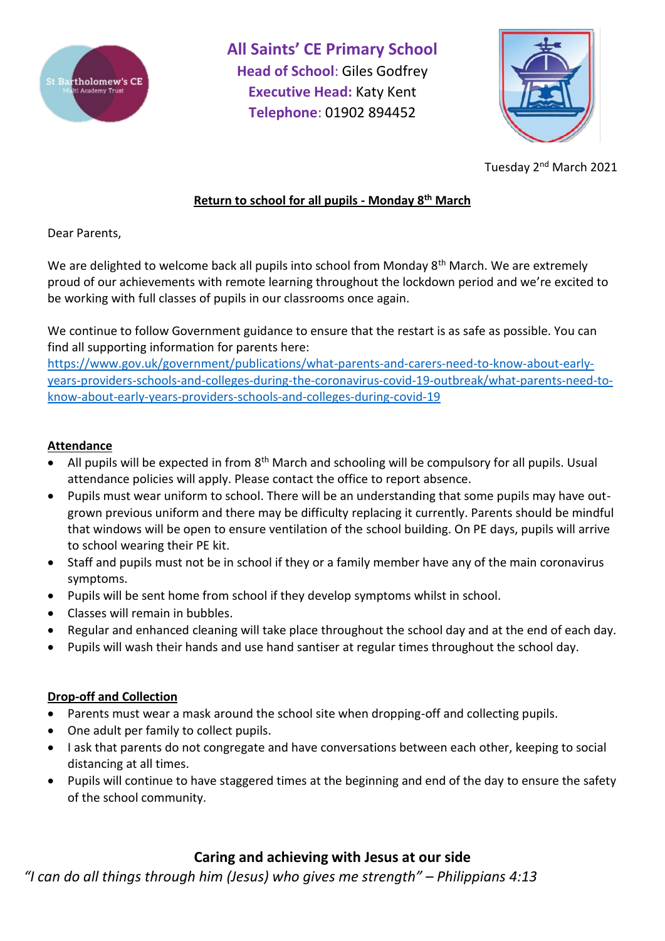



Tuesday 2<sup>nd</sup> March 2021

# **Return to school for all pupils - Monday 8 th March**

Dear Parents,

We are delighted to welcome back all pupils into school from Monday 8<sup>th</sup> March. We are extremely proud of our achievements with remote learning throughout the lockdown period and we're excited to be working with full classes of pupils in our classrooms once again.

We continue to follow Government guidance to ensure that the restart is as safe as possible. You can find all supporting information for parents here:

[https://www.gov.uk/government/publications/what-parents-and-carers-need-to-know-about-early](https://www.gov.uk/government/publications/what-parents-and-carers-need-to-know-about-early-years-providers-schools-and-colleges-during-the-coronavirus-covid-19-outbreak/what-parents-need-to-know-about-early-years-providers-schools-and-colleges-during-covid-19)[years-providers-schools-and-colleges-during-the-coronavirus-covid-19-outbreak/what-parents-need-to](https://www.gov.uk/government/publications/what-parents-and-carers-need-to-know-about-early-years-providers-schools-and-colleges-during-the-coronavirus-covid-19-outbreak/what-parents-need-to-know-about-early-years-providers-schools-and-colleges-during-covid-19)[know-about-early-years-providers-schools-and-colleges-during-covid-19](https://www.gov.uk/government/publications/what-parents-and-carers-need-to-know-about-early-years-providers-schools-and-colleges-during-the-coronavirus-covid-19-outbreak/what-parents-need-to-know-about-early-years-providers-schools-and-colleges-during-covid-19)

# **Attendance**

- All pupils will be expected in from 8<sup>th</sup> March and schooling will be compulsory for all pupils. Usual attendance policies will apply. Please contact the office to report absence.
- Pupils must wear uniform to school. There will be an understanding that some pupils may have outgrown previous uniform and there may be difficulty replacing it currently. Parents should be mindful that windows will be open to ensure ventilation of the school building. On PE days, pupils will arrive to school wearing their PE kit.
- Staff and pupils must not be in school if they or a family member have any of the main coronavirus symptoms.
- Pupils will be sent home from school if they develop symptoms whilst in school.
- Classes will remain in bubbles.
- Regular and enhanced cleaning will take place throughout the school day and at the end of each day.
- Pupils will wash their hands and use hand santiser at regular times throughout the school day.

# **Drop-off and Collection**

- Parents must wear a mask around the school site when dropping-off and collecting pupils.
- One adult per family to collect pupils.
- I ask that parents do not congregate and have conversations between each other, keeping to social distancing at all times.
- Pupils will continue to have staggered times at the beginning and end of the day to ensure the safety of the school community.

# **Caring and achieving with Jesus at our side**

*"I can do all things through him (Jesus) who gives me strength" – Philippians 4:13*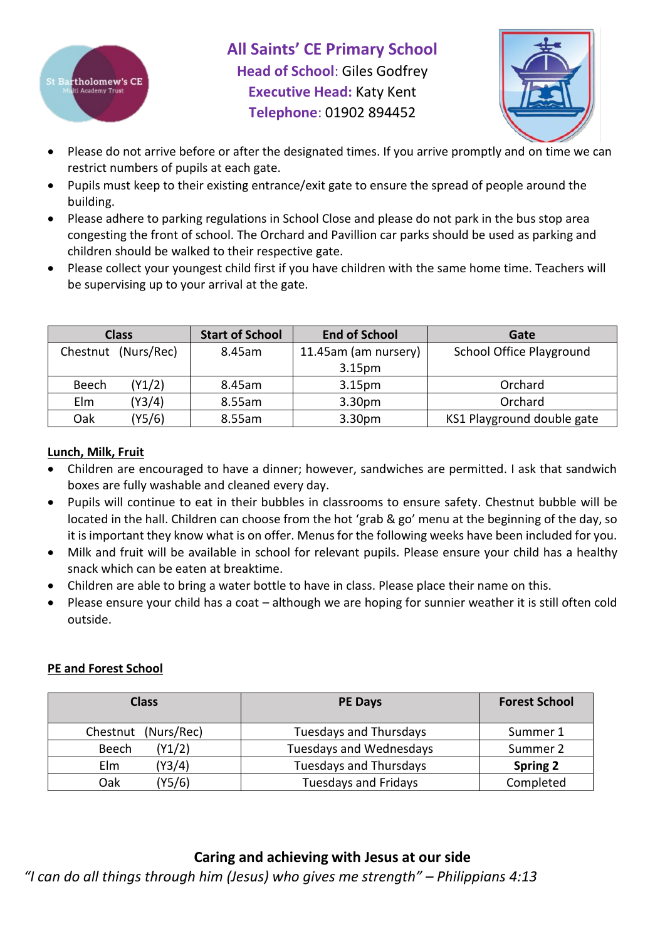



- Please do not arrive before or after the designated times. If you arrive promptly and on time we can restrict numbers of pupils at each gate.
- Pupils must keep to their existing entrance/exit gate to ensure the spread of people around the building.
- Please adhere to parking regulations in School Close and please do not park in the bus stop area congesting the front of school. The Orchard and Pavillion car parks should be used as parking and children should be walked to their respective gate.
- Please collect your youngest child first if you have children with the same home time. Teachers will be supervising up to your arrival at the gate.

| <b>Class</b> |                     | <b>Start of School</b> | <b>End of School</b> | Gate                            |
|--------------|---------------------|------------------------|----------------------|---------------------------------|
|              | Chestnut (Nurs/Rec) | 8.45am                 | 11.45am (am nursery) | <b>School Office Playground</b> |
|              |                     |                        | 3.15 <sub>pm</sub>   |                                 |
| Beech        | (Y1/2)              | 8.45am                 | 3.15 <sub>pm</sub>   | Orchard                         |
| Elm          | (Y3/4)              | 8.55am                 | 3.30 <sub>pm</sub>   | Orchard                         |
| Oak          | Y5/6)               | 8.55am                 | 3.30 <sub>pm</sub>   | KS1 Playground double gate      |

### **Lunch, Milk, Fruit**

- Children are encouraged to have a dinner; however, sandwiches are permitted. I ask that sandwich boxes are fully washable and cleaned every day.
- Pupils will continue to eat in their bubbles in classrooms to ensure safety. Chestnut bubble will be located in the hall. Children can choose from the hot 'grab & go' menu at the beginning of the day, so it is important they know what is on offer. Menus for the following weeks have been included for you.
- Milk and fruit will be available in school for relevant pupils. Please ensure your child has a healthy snack which can be eaten at breaktime.
- Children are able to bring a water bottle to have in class. Please place their name on this.
- Please ensure your child has a coat although we are hoping for sunnier weather it is still often cold outside.

### **PE and Forest School**

| <b>Class</b>        | <b>PE Days</b>                 | <b>Forest School</b> |
|---------------------|--------------------------------|----------------------|
| Chestnut (Nurs/Rec) | <b>Tuesdays and Thursdays</b>  | Summer 1             |
| (Y1/2)<br>Beech     | <b>Tuesdays and Wednesdays</b> | Summer 2             |
| (Y3/4)<br>Elm       | <b>Tuesdays and Thursdays</b>  | <b>Spring 2</b>      |
| (Y5/6)<br>Oak       | <b>Tuesdays and Fridays</b>    | Completed            |

# **Caring and achieving with Jesus at our side**

*"I can do all things through him (Jesus) who gives me strength" – Philippians 4:13*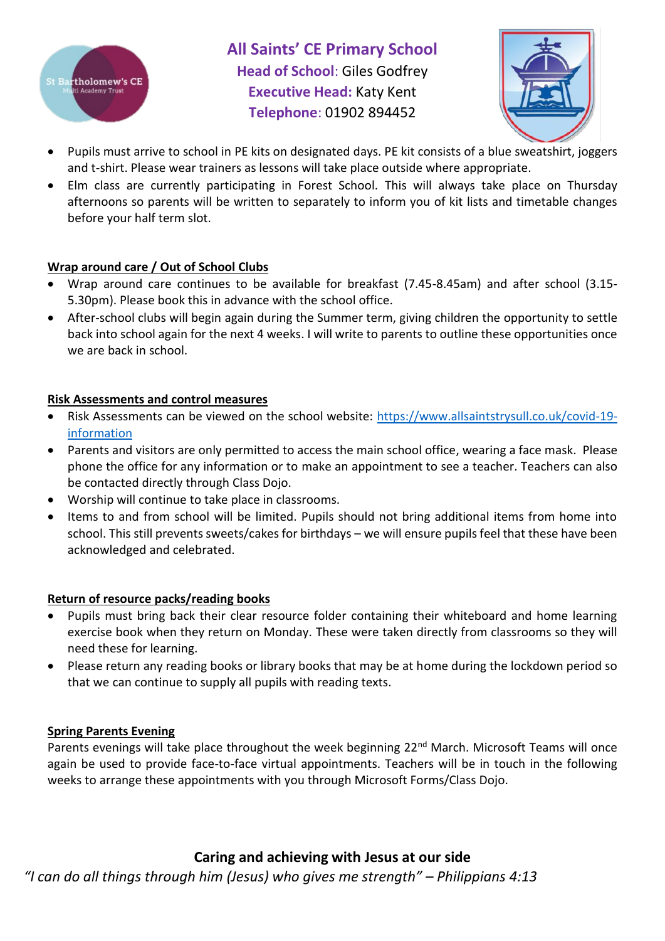



- Pupils must arrive to school in PE kits on designated days. PE kit consists of a blue sweatshirt, joggers and t-shirt. Please wear trainers as lessons will take place outside where appropriate.
- Elm class are currently participating in Forest School. This will always take place on Thursday afternoons so parents will be written to separately to inform you of kit lists and timetable changes before your half term slot.

### **Wrap around care / Out of School Clubs**

- Wrap around care continues to be available for breakfast (7.45-8.45am) and after school (3.15- 5.30pm). Please book this in advance with the school office.
- After-school clubs will begin again during the Summer term, giving children the opportunity to settle back into school again for the next 4 weeks. I will write to parents to outline these opportunities once we are back in school.

### **Risk Assessments and control measures**

- Risk Assessments can be viewed on the school website: [https://www.allsaintstrysull.co.uk/covid-19](https://www.allsaintstrysull.co.uk/covid-19-information) [information](https://www.allsaintstrysull.co.uk/covid-19-information)
- Parents and visitors are only permitted to access the main school office, wearing a face mask. Please phone the office for any information or to make an appointment to see a teacher. Teachers can also be contacted directly through Class Dojo.
- Worship will continue to take place in classrooms.
- Items to and from school will be limited. Pupils should not bring additional items from home into school. This still prevents sweets/cakes for birthdays – we will ensure pupils feel that these have been acknowledged and celebrated.

### **Return of resource packs/reading books**

- Pupils must bring back their clear resource folder containing their whiteboard and home learning exercise book when they return on Monday. These were taken directly from classrooms so they will need these for learning.
- Please return any reading books or library books that may be at home during the lockdown period so that we can continue to supply all pupils with reading texts.

### **Spring Parents Evening**

Parents evenings will take place throughout the week beginning 22<sup>nd</sup> March. Microsoft Teams will once again be used to provide face-to-face virtual appointments. Teachers will be in touch in the following weeks to arrange these appointments with you through Microsoft Forms/Class Dojo.

# **Caring and achieving with Jesus at our side**

*"I can do all things through him (Jesus) who gives me strength" – Philippians 4:13*